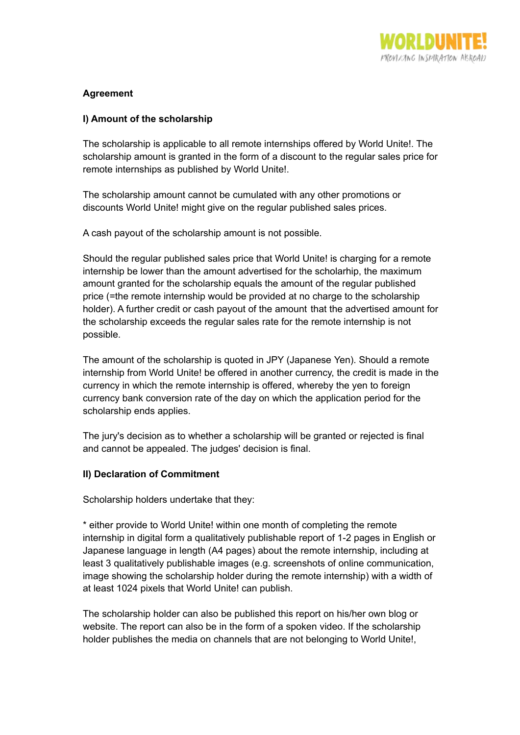

## **Agreement**

## **I) Amount of the scholarship**

The scholarship is applicable to all remote internships offered by World Unite!. The scholarship amount is granted in the form of a discount to the regular sales price for remote internships as published by World Unite!.

The scholarship amount cannot be cumulated with any other promotions or discounts World Unite! might give on the regular published sales prices.

A cash payout of the scholarship amount is not possible.

Should the regular published sales price that World Unite! is charging for a remote internship be lower than the amount advertised for the scholarhip, the maximum amount granted for the scholarship equals the amount of the regular published price (=the remote internship would be provided at no charge to the scholarship holder). A further credit or cash payout of the amount that the advertised amount for the scholarship exceeds the regular sales rate for the remote internship is not possible.

The amount of the scholarship is quoted in JPY (Japanese Yen). Should a remote internship from World Unite! be offered in another currency, the credit is made in the currency in which the remote internship is offered, whereby the yen to foreign currency bank conversion rate of the day on which the application period for the scholarship ends applies.

The jury's decision as to whether a scholarship will be granted or rejected is final and cannot be appealed. The judges' decision is final.

## **II) Declaration of Commitment**

Scholarship holders undertake that they:

\* either provide to World Unite! within one month of completing the remote internship in digital form a qualitatively publishable report of 1-2 pages in English or Japanese language in length (A4 pages) about the remote internship, including at least 3 qualitatively publishable images (e.g. screenshots of online communication, image showing the scholarship holder during the remote internship) with a width of at least 1024 pixels that World Unite! can publish.

The scholarship holder can also be published this report on his/her own blog or website. The report can also be in the form of a spoken video. If the scholarship holder publishes the media on channels that are not belonging to World Unite!,